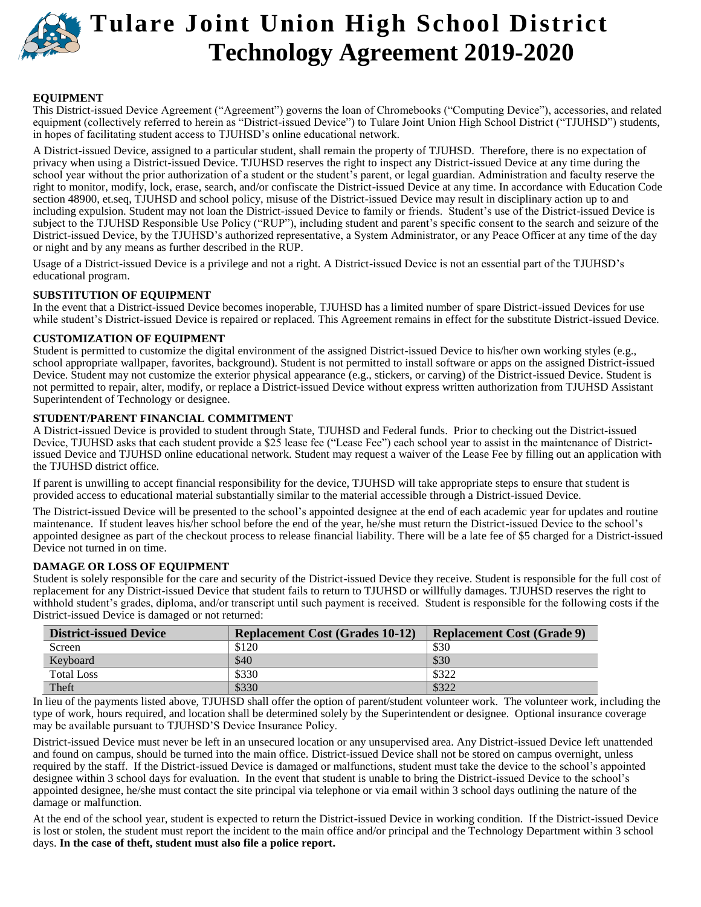

# **Tulare Joint Union High School District Technology Agreement 2019-2020**

#### **EQUIPMENT**

This District-issued Device Agreement ("Agreement") governs the loan of Chromebooks ("Computing Device"), accessories, and related equipment (collectively referred to herein as "District-issued Device") to Tulare Joint Union High School District ("TJUHSD") students, in hopes of facilitating student access to TJUHSD's online educational network.

A District-issued Device, assigned to a particular student, shall remain the property of TJUHSD. Therefore, there is no expectation of privacy when using a District-issued Device. TJUHSD reserves the right to inspect any District-issued Device at any time during the school year without the prior authorization of a student or the student's parent, or legal guardian. Administration and faculty reserve the right to monitor, modify, lock, erase, search, and/or confiscate the District-issued Device at any time. In accordance with Education Code section 48900, et.seq, TJUHSD and school policy, misuse of the District-issued Device may result in disciplinary action up to and including expulsion. Student may not loan the District-issued Device to family or friends. Student's use of the District-issued Device is subject to the TJUHSD Responsible Use Policy ("RUP"), including student and parent's specific consent to the search and seizure of the District-issued Device, by the TJUHSD's authorized representative, a System Administrator, or any Peace Officer at any time of the day or night and by any means as further described in the RUP.

Usage of a District-issued Device is a privilege and not a right. A District-issued Device is not an essential part of the TJUHSD's educational program.

#### **SUBSTITUTION OF EQUIPMENT**

In the event that a District-issued Device becomes inoperable, TJUHSD has a limited number of spare District-issued Devices for use while student's District-issued Device is repaired or replaced. This Agreement remains in effect for the substitute District-issued Device.

#### **CUSTOMIZATION OF EQUIPMENT**

Student is permitted to customize the digital environment of the assigned District-issued Device to his/her own working styles (e.g., school appropriate wallpaper, favorites, background). Student is not permitted to install software or apps on the assigned District-issued Device. Student may not customize the exterior physical appearance (e.g., stickers, or carving) of the District-issued Device. Student is not permitted to repair, alter, modify, or replace a District-issued Device without express written authorization from TJUHSD Assistant Superintendent of Technology or designee.

#### **STUDENT/PARENT FINANCIAL COMMITMENT**

A District-issued Device is provided to student through State, TJUHSD and Federal funds. Prior to checking out the District-issued Device, TJUHSD asks that each student provide a \$25 lease fee ("Lease Fee") each school year to assist in the maintenance of Districtissued Device and TJUHSD online educational network. Student may request a waiver of the Lease Fee by filling out an application with the TJUHSD district office.

If parent is unwilling to accept financial responsibility for the device, TJUHSD will take appropriate steps to ensure that student is provided access to educational material substantially similar to the material accessible through a District-issued Device.

The District-issued Device will be presented to the school's appointed designee at the end of each academic year for updates and routine maintenance. If student leaves his/her school before the end of the year, he/she must return the District-issued Device to the school's appointed designee as part of the checkout process to release financial liability. There will be a late fee of \$5 charged for a District-issued Device not turned in on time.

#### **DAMAGE OR LOSS OF EQUIPMENT**

Student is solely responsible for the care and security of the District-issued Device they receive. Student is responsible for the full cost of replacement for any District-issued Device that student fails to return to TJUHSD or willfully damages. TJUHSD reserves the right to withhold student's grades, diploma, and/or transcript until such payment is received. Student is responsible for the following costs if the District-issued Device is damaged or not returned:

| <b>District-issued Device</b> | <b>Replacement Cost (Grades 10-12)</b> | <b>Replacement Cost (Grade 9)</b> |
|-------------------------------|----------------------------------------|-----------------------------------|
| Screen                        | \$120                                  | \$30                              |
| Keyboard                      | \$40                                   | \$30                              |
| <b>Total Loss</b>             | \$330                                  | \$322                             |
| Theft                         | \$330                                  | \$322                             |

In lieu of the payments listed above, TJUHSD shall offer the option of parent/student volunteer work. The volunteer work, including the type of work, hours required, and location shall be determined solely by the Superintendent or designee. Optional insurance coverage may be available pursuant to TJUHSD'S Device Insurance Policy.

District-issued Device must never be left in an unsecured location or any unsupervised area. Any District-issued Device left unattended and found on campus, should be turned into the main office. District-issued Device shall not be stored on campus overnight, unless required by the staff. If the District-issued Device is damaged or malfunctions, student must take the device to the school's appointed designee within 3 school days for evaluation. In the event that student is unable to bring the District-issued Device to the school's appointed designee, he/she must contact the site principal via telephone or via email within 3 school days outlining the nature of the damage or malfunction.

At the end of the school year, student is expected to return the District-issued Device in working condition. If the District-issued Device is lost or stolen, the student must report the incident to the main office and/or principal and the Technology Department within 3 school days. **In the case of theft, student must also file a police report.**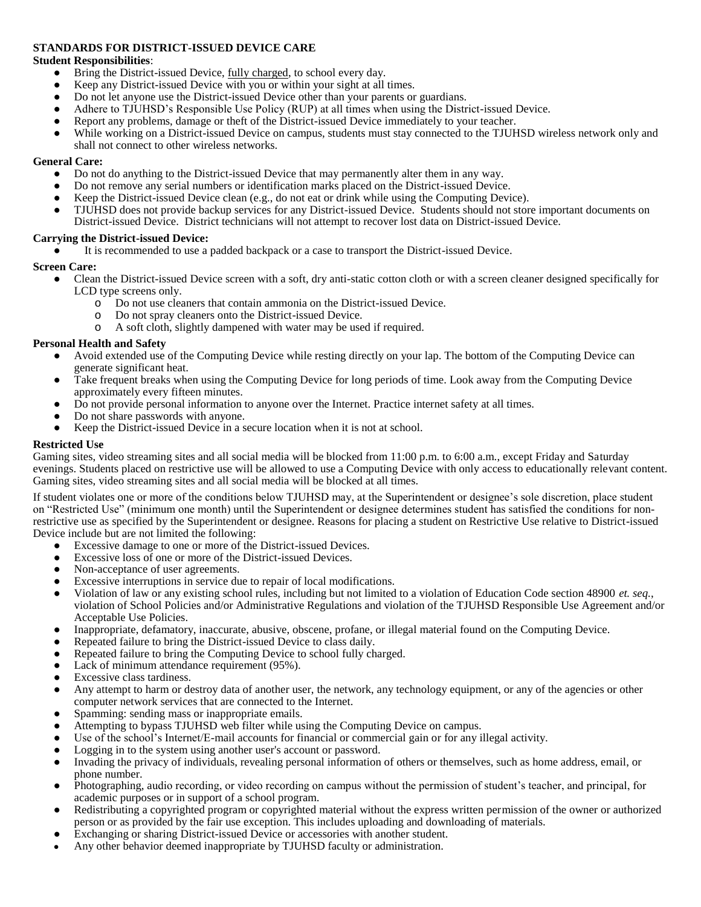#### **STANDARDS FOR DISTRICT-ISSUED DEVICE CARE**

#### **Student Responsibilities**:

- Bring the District-issued Device, fully charged, to school every day.
- Keep any District-issued Device with you or within your sight at all times.
- Do not let anyone use the District-issued Device other than your parents or guardians.
- Adhere to TJUHSD's Responsible Use Policy (RUP) at all times when using the District-issued Device.
- Report any problems, damage or theft of the District-issued Device immediately to your teacher.
- While working on a District-issued Device on campus, students must stay connected to the TJUHSD wireless network only and shall not connect to other wireless networks.

#### **General Care:**

- Do not do anything to the District-issued Device that may permanently alter them in any way.
- Do not remove any serial numbers or identification marks placed on the District-issued Device.
- Keep the District-issued Device clean (e.g., do not eat or drink while using the Computing Device).
- TJUHSD does not provide backup services for any District-issued Device. Students should not store important documents on District-issued Device. District technicians will not attempt to recover lost data on District-issued Device.

#### **Carrying the District-issued Device:**

It is recommended to use a padded backpack or a case to transport the District-issued Device.

#### **Screen Care:**

- Clean the District-issued Device screen with a soft, dry anti-static cotton cloth or with a screen cleaner designed specifically for LCD type screens only.
	- o Do not use cleaners that contain ammonia on the District-issued Device.
	- o Do not spray cleaners onto the District-issued Device.
	- o A soft cloth, slightly dampened with water may be used if required.

#### **Personal Health and Safety**

- Avoid extended use of the Computing Device while resting directly on your lap. The bottom of the Computing Device can generate significant heat.
- Take frequent breaks when using the Computing Device for long periods of time. Look away from the Computing Device approximately every fifteen minutes.
- Do not provide personal information to anyone over the Internet. Practice internet safety at all times.
- Do not share passwords with anyone.
- Keep the District-issued Device in a secure location when it is not at school.

#### **Restricted Use**

Gaming sites, video streaming sites and all social media will be blocked from 11:00 p.m. to 6:00 a.m., except Friday and Saturday evenings. Students placed on restrictive use will be allowed to use a Computing Device with only access to educationally relevant content. Gaming sites, video streaming sites and all social media will be blocked at all times.

If student violates one or more of the conditions below TJUHSD may, at the Superintendent or designee's sole discretion, place student on "Restricted Use" (minimum one month) until the Superintendent or designee determines student has satisfied the conditions for nonrestrictive use as specified by the Superintendent or designee. Reasons for placing a student on Restrictive Use relative to District-issued Device include but are not limited the following:

- Excessive damage to one or more of the District-issued Devices.
- Excessive loss of one or more of the District-issued Devices.
- Non-acceptance of user agreements.
- Excessive interruptions in service due to repair of local modifications.
- Violation of law or any existing school rules, including but not limited to a violation of Education Code section 48900 *et. seq.*, violation of School Policies and/or Administrative Regulations and violation of the TJUHSD Responsible Use Agreement and/or Acceptable Use Policies.
- Inappropriate, defamatory, inaccurate, abusive, obscene, profane, or illegal material found on the Computing Device.
- Repeated failure to bring the District-issued Device to class daily.
- Repeated failure to bring the Computing Device to school fully charged.
- Lack of minimum attendance requirement (95%).
- Excessive class tardiness.
- Any attempt to harm or destroy data of another user, the network, any technology equipment, or any of the agencies or other computer network services that are connected to the Internet.
- Spamming: sending mass or inappropriate emails.
- Attempting to bypass TJUHSD web filter while using the Computing Device on campus.
- Use of the school's Internet/E-mail accounts for financial or commercial gain or for any illegal activity.
- Logging in to the system using another user's account or password.
- Invading the privacy of individuals, revealing personal information of others or themselves, such as home address, email, or phone number.
- Photographing, audio recording, or video recording on campus without the permission of student's teacher, and principal, for academic purposes or in support of a school program.
- Redistributing a copyrighted program or copyrighted material without the express written permission of the owner or authorized person or as provided by the fair use exception. This includes uploading and downloading of materials.
- Exchanging or sharing District-issued Device or accessories with another student.
- Any other behavior deemed inappropriate by TJUHSD faculty or administration.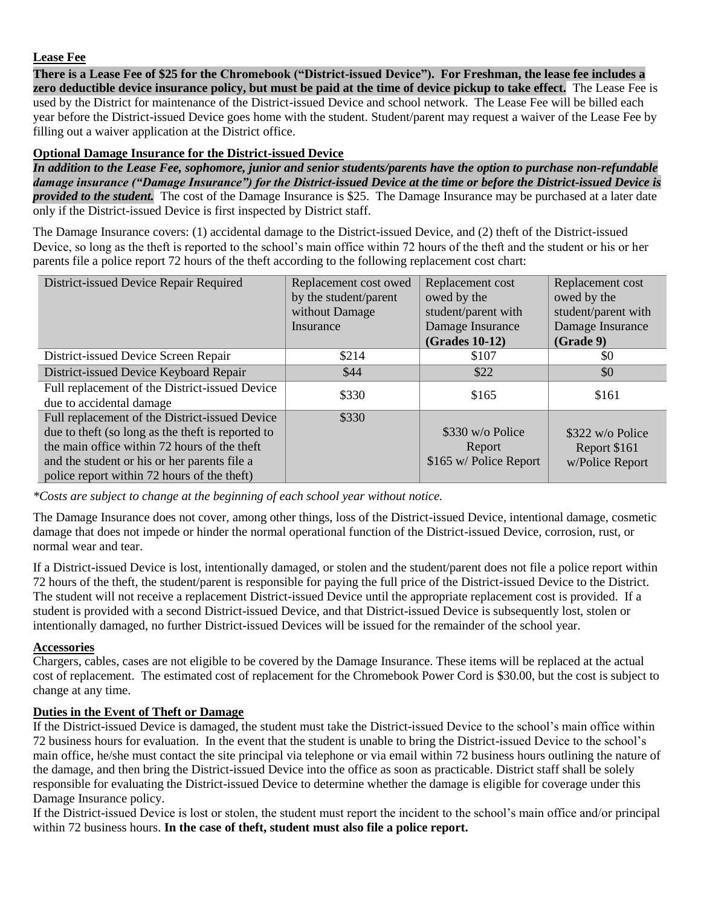## **Lease Fee**

**There is a Lease Fee of \$25 for the Chromebook ("District-issued Device"). For Freshman, the lease fee includes a zero deductible device insurance policy, but must be paid at the time of device pickup to take effect.** The Lease Fee is used by the District for maintenance of the District-issued Device and school network. The Lease Fee will be billed each year before the District-issued Device goes home with the student. Student/parent may request a waiver of the Lease Fee by filling out a waiver application at the District office.

## **Optional Damage Insurance for the District-issued Device**

*In addition to the Lease Fee, sophomore, junior and senior students/parents have the option to purchase non-refundable damage insurance ("Damage Insurance") for the District-issued Device at the time or before the District-issued Device is provided to the student.* The cost of the Damage Insurance is \$25. The Damage Insurance may be purchased at a later date only if the District-issued Device is first inspected by District staff.

The Damage Insurance covers: (1) accidental damage to the District-issued Device, and (2) theft of the District-issued Device, so long as the theft is reported to the school's main office within 72 hours of the theft and the student or his or her parents file a police report 72 hours of the theft according to the following replacement cost chart:

| District-issued Device Repair Required                                     | Replacement cost owed<br>by the student/parent<br>without Damage<br>Insurance | Replacement cost<br>owed by the<br>student/parent with<br>Damage Insurance<br>(Grades 10-12) | Replacement cost<br>owed by the<br>student/parent with<br>Damage Insurance<br>(Grade 9) |
|----------------------------------------------------------------------------|-------------------------------------------------------------------------------|----------------------------------------------------------------------------------------------|-----------------------------------------------------------------------------------------|
| District-issued Device Screen Repair                                       | \$214                                                                         | \$107                                                                                        | \$0                                                                                     |
| District-issued Device Keyboard Repair                                     | \$44                                                                          | \$22                                                                                         | \$0                                                                                     |
| Full replacement of the District-issued Device<br>due to accidental damage | \$330                                                                         | \$165                                                                                        | \$161                                                                                   |
| Full replacement of the District-issued Device                             | \$330                                                                         |                                                                                              |                                                                                         |
| due to theft (so long as the theft is reported to                          |                                                                               | \$330 w/o Police                                                                             | \$322 w/o Police                                                                        |
| the main office within 72 hours of the theft                               |                                                                               | Report                                                                                       | Report \$161                                                                            |
| and the student or his or her parents file a                               |                                                                               | \$165 w/ Police Report                                                                       | w/Police Report                                                                         |
| police report within 72 hours of the theft)                                |                                                                               |                                                                                              |                                                                                         |

*\*Costs are subject to change at the beginning of each school year without notice.* 

The Damage Insurance does not cover, among other things, loss of the District-issued Device, intentional damage, cosmetic damage that does not impede or hinder the normal operational function of the District-issued Device, corrosion, rust, or normal wear and tear.

If a District-issued Device is lost, intentionally damaged, or stolen and the student/parent does not file a police report within 72 hours of the theft, the student/parent is responsible for paying the full price of the District-issued Device to the District. The student will not receive a replacement District-issued Device until the appropriate replacement cost is provided. If a student is provided with a second District-issued Device, and that District-issued Device is subsequently lost, stolen or intentionally damaged, no further District-issued Devices will be issued for the remainder of the school year.

### **Accessories**

Chargers, cables, cases are not eligible to be covered by the Damage Insurance. These items will be replaced at the actual cost of replacement. The estimated cost of replacement for the Chromebook Power Cord is \$30.00, but the cost is subject to change at any time.

## **Duties in the Event of Theft or Damage**

If the District-issued Device is damaged, the student must take the District-issued Device to the school's main office within 72 business hours for evaluation. In the event that the student is unable to bring the District-issued Device to the school's main office, he/she must contact the site principal via telephone or via email within 72 business hours outlining the nature of the damage, and then bring the District-issued Device into the office as soon as practicable. District staff shall be solely responsible for evaluating the District-issued Device to determine whether the damage is eligible for coverage under this Damage Insurance policy.

If the District-issued Device is lost or stolen, the student must report the incident to the school's main office and/or principal within 72 business hours. **In the case of theft, student must also file a police report.**